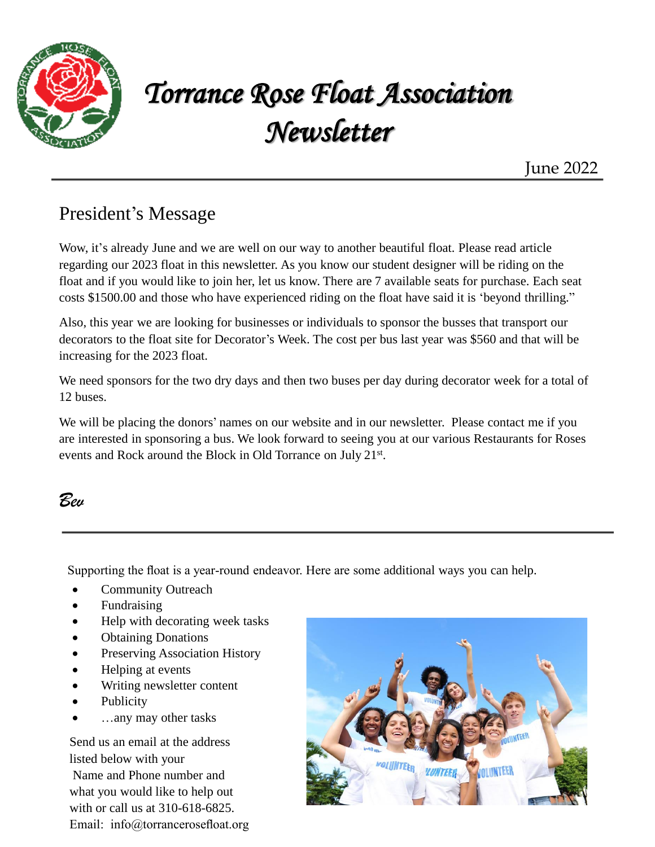

## *Torrance Rose Float Association Newsletter*

June 2022

### President's Message

Wow, it's already June and we are well on our way to another beautiful float. Please read article regarding our 2023 float in this newsletter. As you know our student designer will be riding on the float and if you would like to join her, let us know. There are 7 available seats for purchase. Each seat costs \$1500.00 and those who have experienced riding on the float have said it is 'beyond thrilling."

Also, this year we are looking for businesses or individuals to sponsor the busses that transport our decorators to the float site for Decorator's Week. The cost per bus last year was \$560 and that will be increasing for the 2023 float.

We need sponsors for the two dry days and then two buses per day during decorator week for a total of 12 buses.

We will be placing the donors' names on our website and in our newsletter. Please contact me if you are interested in sponsoring a bus. We look forward to seeing you at our various Restaurants for Roses events and Rock around the Block in Old Torrance on July 21st.

### *Bev*

Supporting the float is a year-round endeavor. Here are some additional ways you can help.

- Community Outreach
- Fundraising
- Help with decorating week tasks
- Obtaining Donations
- Preserving Association History
- Helping at events
- Writing newsletter content
- **Publicity**
- …any may other tasks

Send us an email at the address listed below with your Name and Phone number and what you would like to help out with or call us at 310-618-6825. Email: info@torrancerosefloat.org

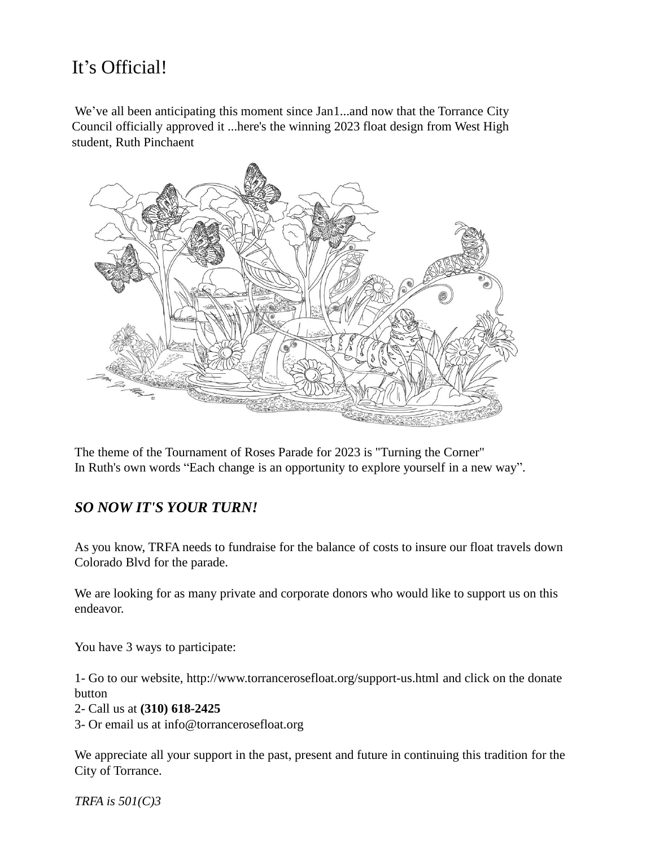### It's Official!

We've all been anticipating this moment since Jan1...and now that the Torrance City Council officially approved it ...here's the winning 2023 float design from West High student, Ruth Pinchaent



The theme of the Tournament of Roses Parade for 2023 is "Turning the Corner" In Ruth's own words "Each change is an opportunity to explore yourself in a new way".

#### *SO NOW IT'S YOUR TURN!*

As you know, TRFA needs to fundraise for the balance of costs to insure our float travels down Colorado Blvd for the parade.

We are looking for as many private and corporate donors who would like to support us on this endeavor.

You have 3 ways to participate:

1- Go to our website, http://www.torrancerosefloat.org/support-us.html and click on the donate button

- 2- Call us at **(310) 618-2425**
- 3- Or email us at info@torrancerosefloat.org

We appreciate all your support in the past, present and future in continuing this tradition for the City of Torrance.

*TRFA is 501(C)3*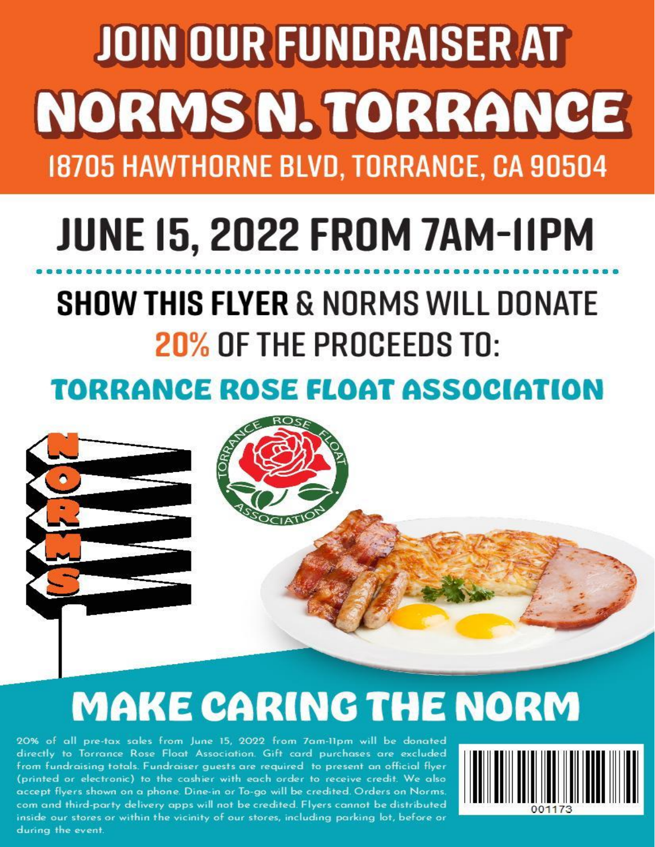# **JOIN OUR FUNDRAISER AT** NORMSN. TORRANCE 18705 HAWTHORNE BLVD, TORRANCE, CA 90504

# **JUNE 15, 2022 FROM 7AM-IIPM**

## **SHOW THIS FLYER & NORMS WILL DONATE** 20% OF THE PROCEEDS TO:

### **TORRANCE ROSE FLOAT ASSOCIATION**



# **MAKE CARING THE NORM**

20% of all pre-tax sales from June 15, 2022 from 7am-11pm will be donated directly to Torrance Rose Float Association. Gift card purchases are excluded from fundraising totals. Fundraiser quests are required to present an official flyer (printed or electronic) to the cashier with each order to receive credit. We also accept flyers shown on a phone. Dine-in or To-go will be credited. Orders on Norms. com and third-party delivery apps will not be credited. Flyers cannot be distributed inside our stores or within the vicinity of our stores, including parking lot, before or during the event.

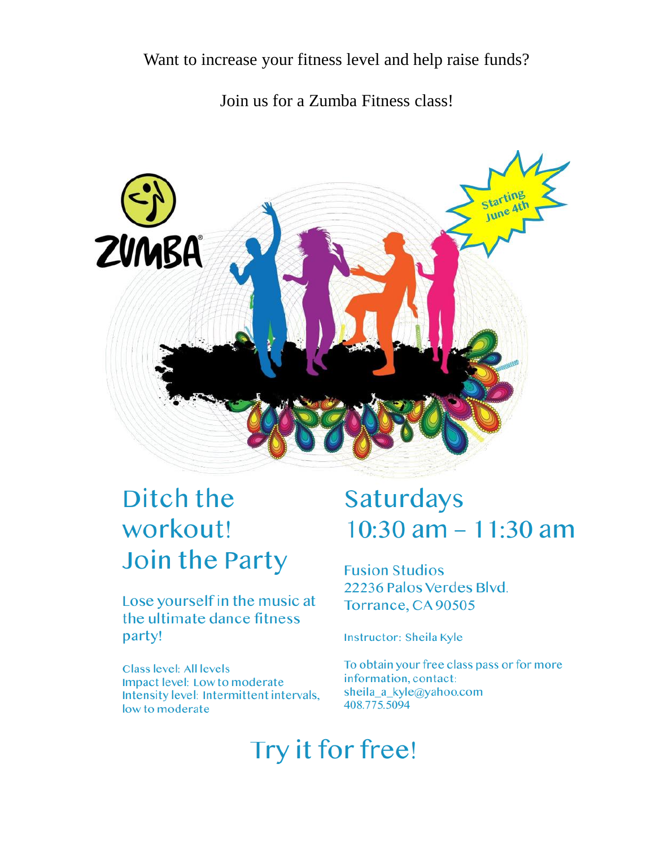#### Join us for a Zumba Fitness class!



### Ditch the workout! Join the Party

Lose yourself in the music at the ultimate dance fitness party!

**Class level: All levels** Impact level: Low to moderate Intensity level: Intermittent intervals, low to moderate

### **Saturdays**  $10:30$  am  $- 11:30$  am

**Fusion Studios** 22236 Palos Verdes Blyd. Torrance, CA 90505

Instructor: Sheila Kyle

To obtain your free class pass or for more information, contact: sheila a kyle@yahoo.com 408.775.5094

### Try it for free!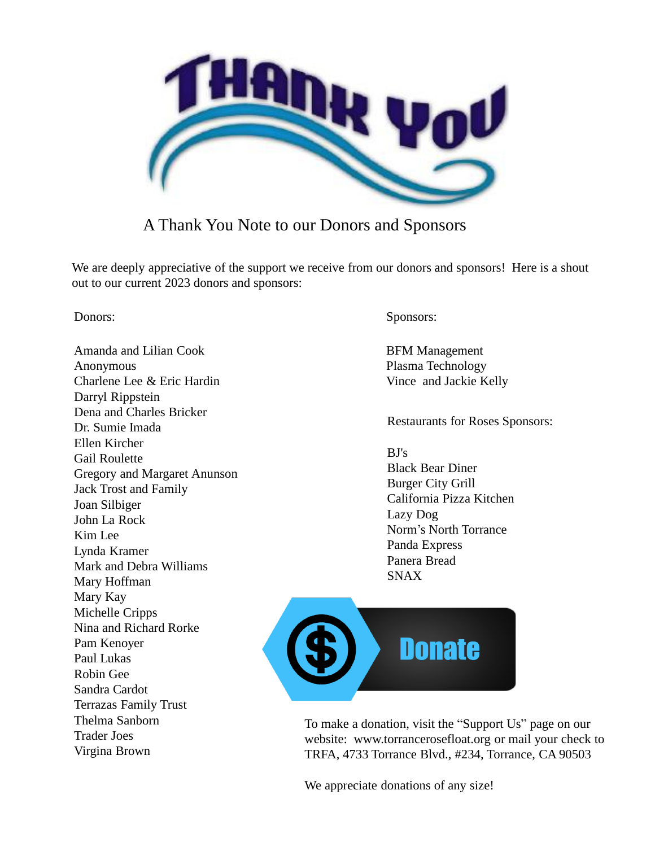

#### A Thank You Note to our Donors and Sponsors

We are deeply appreciative of the support we receive from our donors and sponsors! Here is a shout out to our current 2023 donors and sponsors:

Amanda and Lilian Cook Anonymous Charlene Lee & Eric Hardin Darryl Rippstein Dena and Charles Bricker Dr. Sumie Imada Ellen Kircher Gail Roulette Gregory and Margaret Anunson Jack Trost and Family Joan Silbiger John La Rock Kim Lee Lynda Kramer Mark and Debra Williams Mary Hoffman Mary Kay Michelle Cripps Nina and Richard Rorke Pam Kenoyer Paul Lukas Robin Gee Sandra Cardot Terrazas Family Trust Thelma Sanborn Trader Joes Virgina Brown

Donors: Sponsors:

BFM Management Plasma Technology Vince and Jackie Kelly

Restaurants for Roses Sponsors:

BJ's Black Bear Diner Burger City Grill California Pizza Kitchen Lazy Dog Norm's North Torrance Panda Express Panera Bread SNAX



To make a donation, visit the "Support Us" page on our website: www.torrancerosefloat.org or mail your check to TRFA, 4733 Torrance Blvd., #234, Torrance, CA 90503

We appreciate donations of any size!